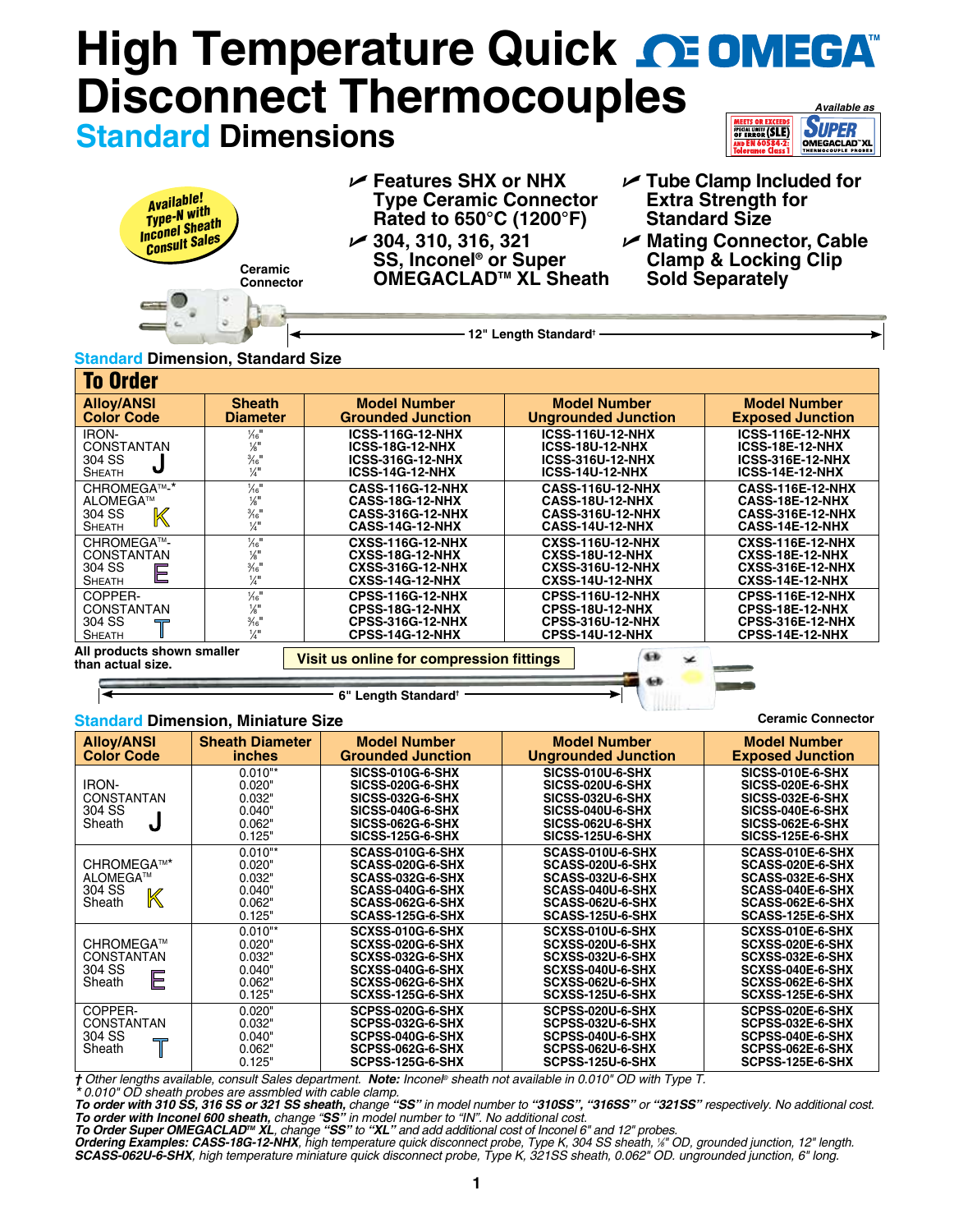## **High Temperature Quick <b>CE OMEGA Disconnect Thermocou[ples](www.omega.com)** *Available as* **MEETS OR EXCEEDS**<br>SPECIAL LIMITS (SLE) **SUPER Standard Dimensions OMEGACLAD"XL**

| <b>Available!</b><br>Available<br>Type-N with<br>Inconel Sheath<br>Consult Sales<br>Ceramic<br>Connector | $\mathcal{V}$ Features SHX or NHX<br><b>Type Ceramic Connector</b><br>Rated to 650°C (1200°F)<br>$\swarrow$ 304, 310, 316, 321<br>SS, Inconel <sup>®</sup> or Super<br>OMEGACLAD <sup>™</sup> XL Sheath | $\sqrt{ }$ Tube Clamp Included for<br><b>Extra Strength for</b><br><b>Standard Size</b><br>► Mating Connector, Cable<br><b>Clamp &amp; Locking Clip</b><br><b>Sold Separately</b> |
|----------------------------------------------------------------------------------------------------------|---------------------------------------------------------------------------------------------------------------------------------------------------------------------------------------------------------|-----------------------------------------------------------------------------------------------------------------------------------------------------------------------------------|
|                                                                                                          | 12" Length Standard <sup>+</sup>                                                                                                                                                                        |                                                                                                                                                                                   |

## **Standard Dimension, Standard Size**

| <b>To Order</b>                                                   |                                                                                                             |                                                                                                        |                                                                                                        |                                                                                                        |
|-------------------------------------------------------------------|-------------------------------------------------------------------------------------------------------------|--------------------------------------------------------------------------------------------------------|--------------------------------------------------------------------------------------------------------|--------------------------------------------------------------------------------------------------------|
| <b>Alloy/ANSI</b><br><b>Color Code</b>                            | <b>Sheath</b><br><b>Diameter</b>                                                                            | <b>Model Number</b><br><b>Grounded Junction</b>                                                        | <b>Model Number</b><br><b>Ungrounded Junction</b>                                                      | <b>Model Number</b><br><b>Exposed Junction</b>                                                         |
| <b>IRON-</b><br><b>CONSTANTAN</b><br>304 SS<br><b>SHEATH</b>      | $\frac{1}{16}$<br>$\frac{1}{8}$ <sup>11</sup><br>$\frac{3}{16}$ "<br>$\frac{1}{4}$                          | <b>ICSS-116G-12-NHX</b><br><b>ICSS-18G-12-NHX</b><br><b>ICSS-316G-12-NHX</b><br><b>ICSS-14G-12-NHX</b> | <b>ICSS-116U-12-NHX</b><br><b>ICSS-18U-12-NHX</b><br><b>ICSS-316U-12-NHX</b><br><b>ICSS-14U-12-NHX</b> | <b>ICSS-116E-12-NHX</b><br>ICSS-18E-12-NHX<br><b>ICSS-316E-12-NHX</b><br><b>ICSS-14E-12-NHX</b>        |
| CHROMEGA™-*<br>ALOMEGA™<br>$\mathbb K$<br>304 SS<br><b>SHEATH</b> | $\frac{1}{6}$ <sup>11</sup><br>$\frac{1}{8}$<br>$\frac{3}{16}$ "<br>$\frac{1}{4}$                           | <b>CASS-116G-12-NHX</b><br><b>CASS-18G-12-NHX</b><br><b>CASS-316G-12-NHX</b><br><b>CASS-14G-12-NHX</b> | <b>CASS-116U-12-NHX</b><br>CASS-18U-12-NHX<br><b>CASS-316U-12-NHX</b><br><b>CASS-14U-12-NHX</b>        | <b>CASS-116E-12-NHX</b><br>CASS-18E-12-NHX<br><b>CASS-316E-12-NHX</b><br>CASS-14E-12-NHX               |
| CHROMEGA™-<br><b>CONSTANTAN</b><br>304 SS<br>Ε<br><b>SHEATH</b>   | $\frac{1}{6}$ <sup>11</sup><br>$\frac{1}{8}$<br>$\frac{3}{16}$ "<br>$\frac{1}{4}$                           | <b>CXSS-116G-12-NHX</b><br><b>CXSS-18G-12-NHX</b><br><b>CXSS-316G-12-NHX</b><br><b>CXSS-14G-12-NHX</b> | <b>CXSS-116U-12-NHX</b><br><b>CXSS-18U-12-NHX</b><br><b>CXSS-316U-12-NHX</b><br><b>CXSS-14U-12-NHX</b> | <b>CXSS-116E-12-NHX</b><br><b>CXSS-18E-12-NHX</b><br><b>CXSS-316E-12-NHX</b><br><b>CXSS-14E-12-NHX</b> |
| COPPER-<br><b>CONSTANTAN</b><br>304 SS<br><b>SHEATH</b>           | $\frac{1}{6}$ <sup>11</sup><br>$\frac{1}{8}$ <sup>11</sup><br>$\frac{3}{16}$ <sup>11</sup><br>$\frac{1}{4}$ | <b>CPSS-116G-12-NHX</b><br><b>CPSS-18G-12-NHX</b><br><b>CPSS-316G-12-NHX</b><br><b>CPSS-14G-12-NHX</b> | <b>CPSS-116U-12-NHX</b><br><b>CPSS-18U-12-NHX</b><br><b>CPSS-316U-12-NHX</b><br><b>CPSS-14U-12-NHX</b> | <b>CPSS-116E-12-NHX</b><br>CPSS-18E-12-NHX<br><b>CPSS-316E-12-NHX</b><br>CPSS-14E-12-NHX               |
| All products shown smaller<br>than actual size.                   |                                                                                                             | Visit us online for compression fittings                                                               | áв<br>z                                                                                                |                                                                                                        |

**6" Length Standard†**

# **Standard Dimension, Miniature Size**

| <b>Alloy/ANSI</b><br><b>Color Code</b>                                       | <b>Sheath Diameter</b><br><i>inches</i>                     | <b>Model Number</b><br><b>Grounded Junction</b>                                                                                                  | <b>Model Number</b><br><b>Ungrounded Junction</b>                                                                                                | <b>Model Number</b><br><b>Exposed Junction</b>                                                                                     |
|------------------------------------------------------------------------------|-------------------------------------------------------------|--------------------------------------------------------------------------------------------------------------------------------------------------|--------------------------------------------------------------------------------------------------------------------------------------------------|------------------------------------------------------------------------------------------------------------------------------------|
| <b>IRON-</b><br>CONSTANTAN<br>304 SS<br>Sheath<br>J                          | $0.010**$<br>0.020"<br>0.032"<br>0.040"<br>0.062"<br>0.125" | <b>SICSS-010G-6-SHX</b><br><b>SICSS-020G-6-SHX</b><br><b>SICSS-032G-6-SHX</b><br>SICSS-040G-6-SHX<br>SICSS-062G-6-SHX<br><b>SICSS-125G-6-SHX</b> | <b>SICSS-010U-6-SHX</b><br><b>SICSS-020U-6-SHX</b><br><b>SICSS-032U-6-SHX</b><br>SICSS-040U-6-SHX<br>SICSS-062U-6-SHX<br><b>SICSS-125U-6-SHX</b> | SICSS-010E-6-SHX<br>SICSS-020E-6-SHX<br><b>SICSS-032E-6-SHX</b><br>SICSS-040E-6-SHX<br>SICSS-062E-6-SHX<br><b>SICSS-125E-6-SHX</b> |
| CHROMEGA™*<br>ALOMEGA™<br>304 SS<br>K<br>Sheath                              | $0.010**$<br>0.020"<br>0.032"<br>0.040"<br>0.062"<br>0.125" | SCASS-010G-6-SHX<br>SCASS-020G-6-SHX<br>SCASS-032G-6-SHX<br>SCASS-040G-6-SHX<br>SCASS-062G-6-SHX<br>SCASS-125G-6-SHX                             | SCASS-010U-6-SHX<br>SCASS-020U-6-SHX<br>SCASS-032U-6-SHX<br>SCASS-040U-6-SHX<br>SCASS-062U-6-SHX<br>SCASS-125U-6-SHX                             | SCASS-010E-6-SHX<br>SCASS-020E-6-SHX<br>SCASS-032E-6-SHX<br>SCASS-040E-6-SHX<br>SCASS-062E-6-SHX<br>SCASS-125E-6-SHX               |
| CHROMEGA™<br><b>CONSTANTAN</b><br>304 SS<br>E<br>Sheath                      | $0.010**$<br>0.020"<br>0.032"<br>0.040"<br>0.062"<br>0.125" | SCXSS-010G-6-SHX<br><b>SCXSS-020G-6-SHX</b><br>SCXSS-032G-6-SHX<br>SCXSS-040G-6-SHX<br>SCXSS-062G-6-SHX<br>SCXSS-125G-6-SHX                      | SCXSS-010U-6-SHX<br>SCXSS-020U-6-SHX<br>SCXSS-032U-6-SHX<br>SCXSS-040U-6-SHX<br>SCXSS-062U-6-SHX<br>SCXSS-125U-6-SHX                             | SCXSS-010E-6-SHX<br>SCXSS-020E-6-SHX<br>SCXSS-032E-6-SHX<br>SCXSS-040E-6-SHX<br>SCXSS-062E-6-SHX<br>SCXSS-125E-6-SHX               |
| COPPER-<br><b>CONSTANTAN</b><br>304 SS<br>$\overline{\phantom{a}}$<br>Sheath | 0.020"<br>0.032"<br>0.040"<br>0.062"<br>0.125"              | SCPSS-020G-6-SHX<br>SCPSS-032G-6-SHX<br>SCPSS-040G-6-SHX<br>SCPSS-062G-6-SHX<br>SCPSS-125G-6-SHX                                                 | SCPSS-020U-6-SHX<br>SCPSS-032U-6-SHX<br>SCPSS-040U-6-SHX<br>SCPSS-062U-6-SHX<br>SCPSS-125U-6-SHX                                                 | SCPSS-020E-6-SHX<br>SCPSS-032E-6-SHX<br>SCPSS-040E-6-SHX<br>SCPSS-062E-6-SHX<br>SCPSS-125E-6-SHX                                   |

**Ceramic Connector**

**Allian** 

*† Other lengths available, consult Sales department. Note: Inconel® sheath not available in 0.010" OD with Type T.*

\*0.010" OD sheath probes are assmbled with cable clamp.<br>To order with 310 SS, 316 SS or 321 SS sheath, change "SS" in model number to "310SS", "316SS" or "321SS" respectively. No additional cost.

To order with Inconel 600 sheath, change "SS" in model number to "IN". No additional cost.<br>To Order Super OMEGACLAD™ XL, change "SS" to "XL" and add additional cost of Inconel 6" and 12" probes.<br>Ordering Examples: CASS-18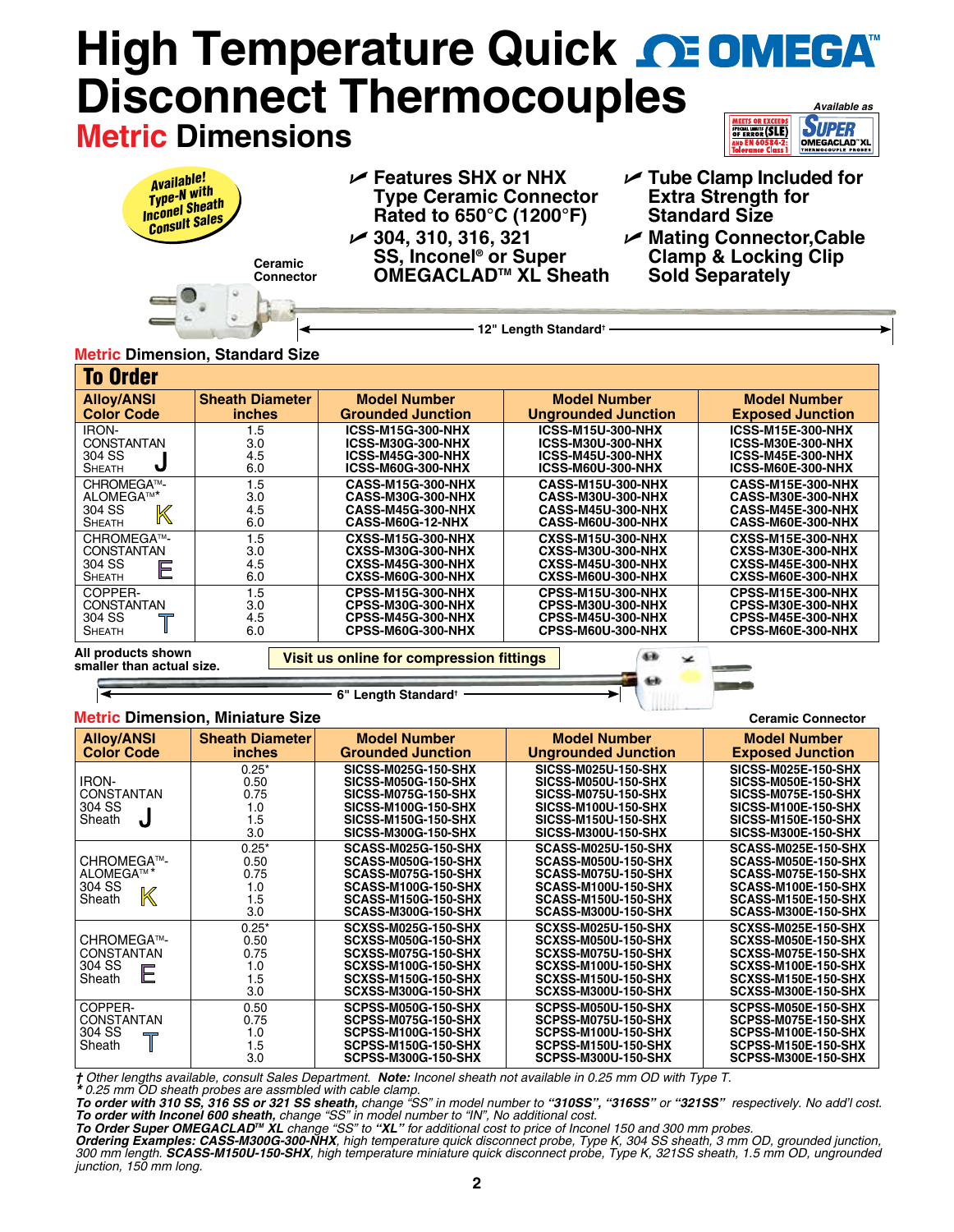# **High Temperature Quick <b>CE OMEGA Disconnect Thermocouples** *Available as* **SUPER Metric Dimensions SPECIAL LIMITS (SLE)**

| <b>Available!</b><br>Available<br>Type-N with<br>Inconel Sheath<br>Consult Sales<br>Ceramic<br><b>Connector</b> | $\mathcal{V}$ Features SHX or NHX<br><b>Type Ceramic Connector</b><br>Rated to 650°C (1200°F)<br>$\swarrow$ 304, 310, 316, 321<br><b>SS, Inconel<sup>®</sup> or Super</b><br><b>OMEGACLAD™ XL Sheath</b> | $\sqrt{ }$ Tube Clamp Included for<br><b>Extra Strength for</b><br><b>Standard Size</b><br><b>⊿ Mating Connector, Cable</b><br><b>Clamp &amp; Locking Clip</b><br><b>Sold Separately</b> |
|-----------------------------------------------------------------------------------------------------------------|----------------------------------------------------------------------------------------------------------------------------------------------------------------------------------------------------------|------------------------------------------------------------------------------------------------------------------------------------------------------------------------------------------|
| ia Dimancian, Ctandard Ciza                                                                                     | 2" Length Standard <sup>+</sup>                                                                                                                                                                          |                                                                                                                                                                                          |

# **Metric Dimension, Standard Size**

| <b>To Order</b><br><b>Alloy/ANSI</b><br><b>Color Code</b>       | <b>Sheath Diameter</b><br><i>inches</i> | <b>Model Number</b><br><b>Grounded Junction</b>                                                              | <b>Model Number</b><br><b>Ungrounded Junction</b>                                                     | <b>Model Number</b><br><b>Exposed Junction</b>                                                        |
|-----------------------------------------------------------------|-----------------------------------------|--------------------------------------------------------------------------------------------------------------|-------------------------------------------------------------------------------------------------------|-------------------------------------------------------------------------------------------------------|
| IRON-<br><b>CONSTANTAN</b><br>304 SS<br>J<br><b>SHEATH</b>      | 1.5<br>3.0<br>4.5<br>6.0                | <b>ICSS-M15G-300-NHX</b><br><b>ICSS-M30G-300-NHX</b><br><b>ICSS-M45G-300-NHX</b><br><b>ICSS-M60G-300-NHX</b> | <b>ICSS-M15U-300-NHX</b><br><b>ICSS-M30U-300-NHX</b><br><b>ICSS-M45U-300-NHX</b><br>ICSS-M60U-300-NHX | <b>ICSS-M15E-300-NHX</b><br><b>ICSS-M30E-300-NHX</b><br><b>ICSS-M45E-300-NHX</b><br>ICSS-M60E-300-NHX |
| CHROMEGA™-<br>ALOMEGA™*<br>304 SS<br>K<br><b>SHEATH</b>         | 1.5<br>3.0<br>4.5<br>6.0                | CASS-M15G-300-NHX<br>CASS-M30G-300-NHX<br>CASS-M45G-300-NHX<br><b>CASS-M60G-12-NHX</b>                       | <b>CASS-M15U-300-NHX</b><br><b>CASS-M30U-300-NHX</b><br><b>CASS-M45U-300-NHX</b><br>CASS-M60U-300-NHX | CASS-M15E-300-NHX<br><b>CASS-M30E-300-NHX</b><br>CASS-M45E-300-NHX<br>CASS-M60E-300-NHX               |
| CHROMEGA™-<br><b>CONSTANTAN</b><br>304 SS<br>Е<br><b>SHEATH</b> | 1.5<br>3.0<br>4.5<br>6.0                | <b>CXSS-M15G-300-NHX</b><br><b>CXSS-M30G-300-NHX</b><br><b>CXSS-M45G-300-NHX</b><br>CXSS-M60G-300-NHX        | <b>CXSS-M15U-300-NHX</b><br><b>CXSS-M30U-300-NHX</b><br><b>CXSS-M45U-300-NHX</b><br>CXSS-M60U-300-NHX | <b>CXSS-M15E-300-NHX</b><br>CXSS-M30E-300-NHX<br>CXSS-M45E-300-NHX<br>CXSS-M60E-300-NHX               |
| COPPER-<br><b>CONSTANTAN</b><br>304 SS<br><b>SHEATH</b>         | 1.5<br>3.0<br>4.5<br>6.0                | CPSS-M15G-300-NHX<br><b>CPSS-M30G-300-NHX</b><br><b>CPSS-M45G-300-NHX</b><br><b>CPSS-M60G-300-NHX</b>        | <b>CPSS-M15U-300-NHX</b><br><b>CPSS-M30U-300-NHX</b><br><b>CPSS-M45U-300-NHX</b><br>CPSS-M60U-300-NHX | CPSS-M15E-300-NHX<br>CPSS-M30E-300-NHX<br>CPSS-M45E-300-NHX<br><b>CPSS-M60E-300-NHX</b>               |
| All products shown<br>smaller than actual size.                 |                                         | Visit us online for compression fittings                                                                     | œ<br>z                                                                                                | --                                                                                                    |

### **6" Length Standard†**

# **Metric Dimension, Miniature Size**

| <b>Metric Dimension, Miniature Size</b>                      |                                              | <b>Ceramic Connector</b>                                                                                                                                                         |                                                                                                                                                                                  |                                                                                                                                                                                  |
|--------------------------------------------------------------|----------------------------------------------|----------------------------------------------------------------------------------------------------------------------------------------------------------------------------------|----------------------------------------------------------------------------------------------------------------------------------------------------------------------------------|----------------------------------------------------------------------------------------------------------------------------------------------------------------------------------|
| <b>Alloy/ANSI</b><br><b>Color Code</b>                       | <b>Sheath Diameter</b><br><i>inches</i>      | <b>Model Number</b><br><b>Grounded Junction</b>                                                                                                                                  | <b>Model Number</b><br><b>Ungrounded Junction</b>                                                                                                                                | <b>Model Number</b><br><b>Exposed Junction</b>                                                                                                                                   |
| <b>IRON-</b><br><b>CONSTANTAN</b><br>304 SS<br>J<br>Sheath   | $0.25*$<br>0.50<br>0.75<br>1.0<br>1.5<br>3.0 | <b>SICSS-M025G-150-SHX</b><br><b>SICSS-M050G-150-SHX</b><br><b>SICSS-M075G-150-SHX</b><br><b>SICSS-M100G-150-SHX</b><br><b>SICSS-M150G-150-SHX</b><br><b>SICSS-M300G-150-SHX</b> | <b>SICSS-M025U-150-SHX</b><br><b>SICSS-M050U-150-SHX</b><br><b>SICSS-M075U-150-SHX</b><br><b>SICSS-M100U-150-SHX</b><br><b>SICSS-M150U-150-SHX</b><br><b>SICSS-M300U-150-SHX</b> | <b>SICSS-M025E-150-SHX</b><br><b>SICSS-M050E-150-SHX</b><br><b>SICSS-M075E-150-SHX</b><br><b>SICSS-M100E-150-SHX</b><br><b>SICSS-M150E-150-SHX</b><br><b>SICSS-M300E-150-SHX</b> |
| CHROMEGA™-<br>ALOMEGA™ <sup>*</sup><br>304 SS<br>K<br>Sheath | $0.25*$<br>0.50<br>0.75<br>1.0<br>1.5<br>3.0 | <b>SCASS-M025G-150-SHX</b><br><b>SCASS-M050G-150-SHX</b><br>SCASS-M075G-150-SHX<br><b>SCASS-M100G-150-SHX</b><br><b>SCASS-M150G-150-SHX</b><br><b>SCASS-M300G-150-SHX</b>        | <b>SCASS-M025U-150-SHX</b><br><b>SCASS-M050U-150-SHX</b><br>SCASS-M075U-150-SHX<br>SCASS-M100U-150-SHX<br>SCASS-M150U-150-SHX<br>SCASS-M300U-150-SHX                             | SCASS-M025E-150-SHX<br>SCASS-M050E-150-SHX<br>SCASS-M075E-150-SHX<br>SCASS-M100E-150-SHX<br>SCASS-M150E-150-SHX<br>SCASS-M300E-150-SHX                                           |
| CHROMEGA™-<br><b>CONSTANTAN</b><br>304 SS<br>E<br>Sheath     | $0.25*$<br>0.50<br>0.75<br>1.0<br>1.5<br>3.0 | <b>SCXSS-M025G-150-SHX</b><br><b>SCXSS-M050G-150-SHX</b><br>SCXSS-M075G-150-SHX<br>SCXSS-M100G-150-SHX<br><b>SCXSS-M150G-150-SHX</b><br><b>SCXSS-M300G-150-SHX</b>               | SCXSS-M025U-150-SHX<br><b>SCXSS-M050U-150-SHX</b><br>SCXSS-M075U-150-SHX<br>SCXSS-M100U-150-SHX<br><b>SCXSS-M150U-150-SHX</b><br>SCXSS-M300U-150-SHX                             | SCXSS-M025E-150-SHX<br>SCXSS-M050E-150-SHX<br>SCXSS-M075E-150-SHX<br>SCXSS-M100E-150-SHX<br><b>SCXSS-M150E-150-SHX</b><br>SCXSS-M300E-150-SHX                                    |
| COPPER-<br><b>CONSTANTAN</b><br>304 SS<br>╦<br>Sheath        | 0.50<br>0.75<br>1.0<br>1.5<br>3.0            | <b>SCPSS-M050G-150-SHX</b><br><b>SCPSS-M075G-150-SHX</b><br>SCPSS-M100G-150-SHX<br>SCPSS-M150G-150-SHX<br>SCPSS-M300G-150-SHX                                                    | SCPSS-M050U-150-SHX<br>SCPSS-M075U-150-SHX<br><b>SCPSS-M100U-150-SHX</b><br>SCPSS-M150U-150-SHX<br>SCPSS-M300U-150-SHX                                                           | SCPSS-M050E-150-SHX<br>SCPSS-M075E-150-SHX<br>SCPSS-M100E-150-SHX<br>SCPSS-M150E-150-SHX<br>SCPSS-M300E-150-SHX                                                                  |

*† Other lengths available, consult Sales Department. Note: Inconel sheath not available in 0.25 mm OD with Type T. \* 0.25 mm OD sheath probes are assmbled with cable clamp.*

*To order with 310 SS, 316 SS or 321 SS sheath, change "SS" in model number to "310SS", "316SS" or "321SS" respectively. No add'l cost.*  To order with Inconel 600 sheath, change "SS" in model number to "IN", No additional cost.<br>To Order Super OMEGACLAD™ XL change "SS" to "XL" for additional cost to price of Inconel 150 and 300 mm probes.

*Ordering Examples: CASS-M300G-300-NHX, high temperature quick disconnect probe, Type K, 304 SS sheath, 3 mm OD, grounded junction, 300 mm length. SCASS-M150U-150-SHX, high temperature miniature quick disconnect probe, Type K, 321SS sheath, 1.5 mm OD, ungrounded junction, 150 mm long.*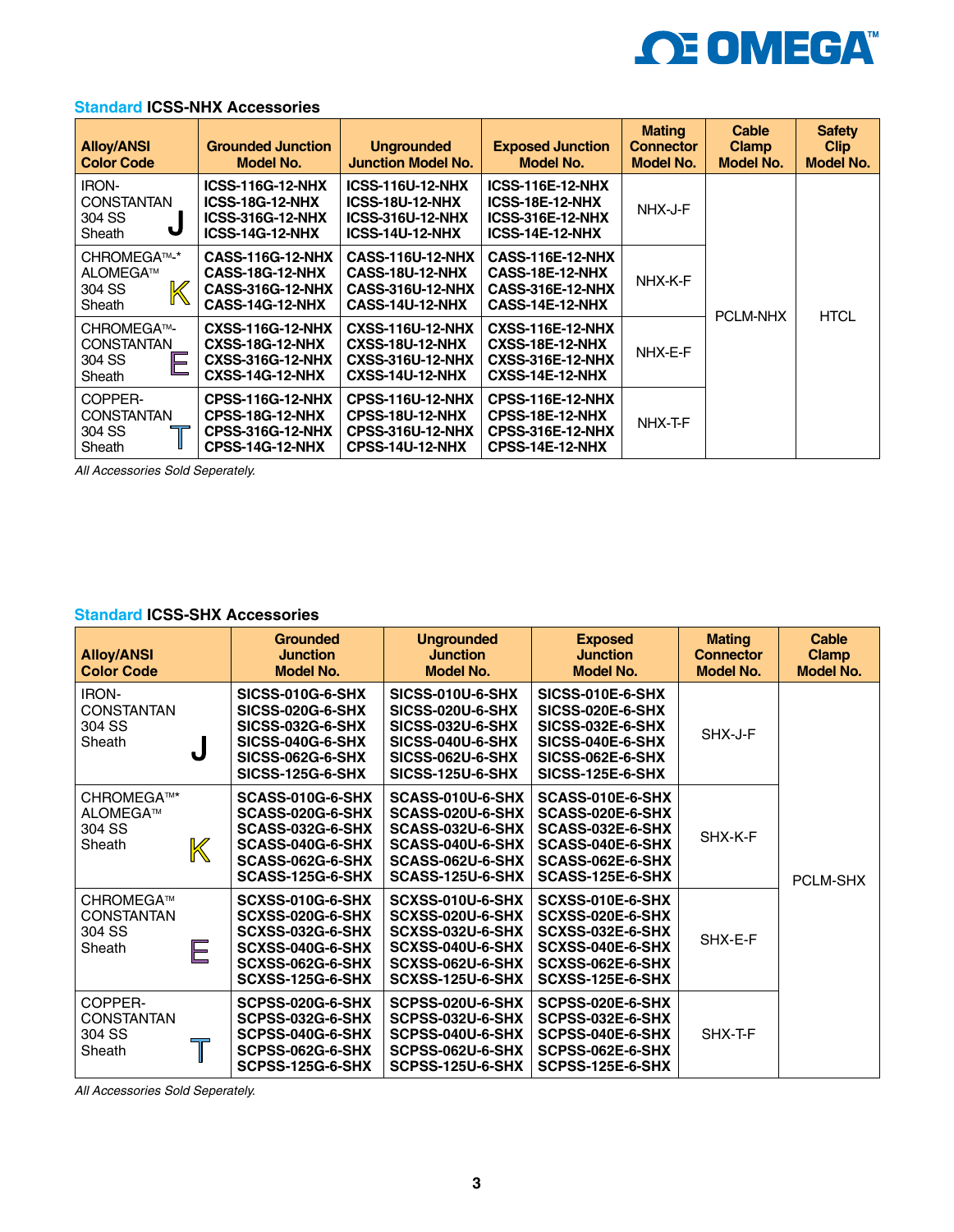

|  |  | <b>Standard ICSS-NHX Accessories</b> |
|--|--|--------------------------------------|
|--|--|--------------------------------------|

| <b>Alloy/ANSI</b><br><b>Color Code</b>                     | <b>Grounded Junction</b><br>Model No.                                                                  | <b>Ungrounded</b><br><b>Junction Model No.</b>                                                         | <b>Exposed Junction</b><br>Model No.                                                            | <b>Mating</b><br><b>Connector</b><br>Model No. | Cable<br><b>Clamp</b><br><b>Model No.</b> | <b>Safety</b><br><b>Clip</b><br>Model No. |
|------------------------------------------------------------|--------------------------------------------------------------------------------------------------------|--------------------------------------------------------------------------------------------------------|-------------------------------------------------------------------------------------------------|------------------------------------------------|-------------------------------------------|-------------------------------------------|
| <b>IRON-</b><br><b>CONSTANTAN</b><br>304 SS<br>υ<br>Sheath | <b>ICSS-116G-12-NHX</b><br><b>ICSS-18G-12-NHX</b><br><b>ICSS-316G-12-NHX</b><br><b>ICSS-14G-12-NHX</b> | <b>ICSS-116U-12-NHX</b><br><b>ICSS-18U-12-NHX</b><br><b>ICSS-316U-12-NHX</b><br><b>ICSS-14U-12-NHX</b> | <b>ICSS-116E-12-NHX</b><br>ICSS-18E-12-NHX<br><b>ICSS-316E-12-NHX</b><br><b>ICSS-14E-12-NHX</b> | NHX-J-F                                        |                                           |                                           |
| CHROMEGA™-*<br>ALOMEGA™<br>304 SS<br>Sheath                | <b>CASS-116G-12-NHX</b><br><b>CASS-18G-12-NHX</b><br><b>CASS-316G-12-NHX</b><br><b>CASS-14G-12-NHX</b> | <b>CASS-116U-12-NHX</b><br>CASS-18U-12-NHX<br><b>CASS-316U-12-NHX</b><br>CASS-14U-12-NHX               | <b>CASS-116E-12-NHX</b><br>CASS-18E-12-NHX<br><b>CASS-316E-12-NHX</b><br>CASS-14E-12-NHX        | NHX-K-F                                        |                                           |                                           |
| CHROMEGA™-<br><b>CONSTANTAN</b><br>E<br>304 SS<br>Sheath   | <b>CXSS-116G-12-NHX</b><br><b>CXSS-18G-12-NHX</b><br><b>CXSS-316G-12-NHX</b><br><b>CXSS-14G-12-NHX</b> | <b>CXSS-116U-12-NHX</b><br><b>CXSS-18U-12-NHX</b><br><b>CXSS-316U-12-NHX</b><br><b>CXSS-14U-12-NHX</b> | <b>CXSS-116E-12-NHX</b><br><b>CXSS-18E-12-NHX</b><br><b>CXSS-316E-12-NHX</b><br>CXSS-14E-12-NHX | NHX-E-F                                        | <b>PCLM-NHX</b>                           | <b>HTCL</b>                               |
| COPPER-<br><b>CONSTANTAN</b><br>304 SS<br>Sheath           | <b>CPSS-116G-12-NHX</b><br><b>CPSS-18G-12-NHX</b><br><b>CPSS-316G-12-NHX</b><br>CPSS-14G-12-NHX        | <b>CPSS-116U-12-NHX</b><br><b>CPSS-18U-12-NHX</b><br><b>CPSS-316U-12-NHX</b><br><b>CPSS-14U-12-NHX</b> | <b>CPSS-116E-12-NHX</b><br>CPSS-18E-12-NHX<br><b>CPSS-316E-12-NHX</b><br>CPSS-14E-12-NHX        | NHX-T-F                                        |                                           |                                           |

*All Accessories Sold Seperately.*

# **Standard ICSS-SHX Accessories**

| <b>Alloy/ANSI</b><br><b>Color Code</b>                |   | <b>Grounded</b><br><b>Junction</b><br><b>Model No.</b>                                                                                    | <b>Ungrounded</b><br><b>Junction</b><br><b>Model No.</b>                                                                                                | <b>Exposed</b><br><b>Junction</b><br><b>Model No.</b>                                                                              | <b>Mating</b><br><b>Connector</b><br><b>Model No.</b> | <b>Cable</b><br><b>Clamp</b><br><b>Model No.</b> |
|-------------------------------------------------------|---|-------------------------------------------------------------------------------------------------------------------------------------------|---------------------------------------------------------------------------------------------------------------------------------------------------------|------------------------------------------------------------------------------------------------------------------------------------|-------------------------------------------------------|--------------------------------------------------|
| <b>IRON-</b><br><b>CONSTANTAN</b><br>304 SS<br>Sheath | J | SICSS-010G-6-SHX<br><b>SICSS-020G-6-SHX</b><br><b>SICSS-032G-6-SHX</b><br>SICSS-040G-6-SHX<br>SICSS-062G-6-SHX<br><b>SICSS-125G-6-SHX</b> | <b>SICSS-010U-6-SHX</b><br><b>SICSS-020U-6-SHX</b><br><b>SICSS-032U-6-SHX</b><br>SICSS-040U-6-SHX<br><b>SICSS-062U-6-SHX</b><br><b>SICSS-125U-6-SHX</b> | <b>SICSS-010E-6-SHX</b><br><b>SICSS-020E-6-SHX</b><br>SICSS-032E-6-SHX<br>SICSS-040E-6-SHX<br>SICSS-062E-6-SHX<br>SICSS-125E-6-SHX | SHX-J-F                                               |                                                  |
| CHROMEGA™*<br>ALOMEGA™<br>304 SS<br>Sheath            | K | SCASS-010G-6-SHX<br>SCASS-020G-6-SHX<br>SCASS-032G-6-SHX<br>SCASS-040G-6-SHX<br>SCASS-062G-6-SHX<br>SCASS-125G-6-SHX                      | SCASS-010U-6-SHX<br>SCASS-020U-6-SHX<br>SCASS-032U-6-SHX<br>SCASS-040U-6-SHX<br>SCASS-062U-6-SHX<br>SCASS-125U-6-SHX                                    | SCASS-010E-6-SHX<br>SCASS-020E-6-SHX<br>SCASS-032E-6-SHX<br>SCASS-040E-6-SHX<br>SCASS-062E-6-SHX<br>SCASS-125E-6-SHX               | SHX-K-F                                               | <b>PCLM-SHX</b>                                  |
| CHROMEGA™<br><b>CONSTANTAN</b><br>304 SS<br>Sheath    | Е | SCXSS-010G-6-SHX<br>SCXSS-020G-6-SHX<br><b>SCXSS-032G-6-SHX</b><br>SCXSS-040G-6-SHX<br>SCXSS-062G-6-SHX<br>SCXSS-125G-6-SHX               | SCXSS-010U-6-SHX<br>SCXSS-020U-6-SHX<br>SCXSS-032U-6-SHX<br>SCXSS-040U-6-SHX<br>SCXSS-062U-6-SHX<br>SCXSS-125U-6-SHX                                    | SCXSS-010E-6-SHX<br>SCXSS-020E-6-SHX<br>SCXSS-032E-6-SHX<br>SCXSS-040E-6-SHX<br>SCXSS-062E-6-SHX<br>SCXSS-125E-6-SHX               | SHX-E-F                                               |                                                  |
| COPPER-<br><b>CONSTANTAN</b><br>304 SS<br>Sheath      |   | SCPSS-020G-6-SHX<br>SCPSS-032G-6-SHX<br>SCPSS-040G-6-SHX<br>SCPSS-062G-6-SHX<br>SCPSS-125G-6-SHX                                          | SCPSS-020U-6-SHX<br>SCPSS-032U-6-SHX<br>SCPSS-040U-6-SHX<br>SCPSS-062U-6-SHX<br>SCPSS-125U-6-SHX                                                        | SCPSS-020E-6-SHX<br>SCPSS-032E-6-SHX<br>SCPSS-040E-6-SHX<br>SCPSS-062E-6-SHX<br>SCPSS-125E-6-SHX                                   | SHX-T-F                                               |                                                  |

*All Accessories Sold Seperately.*